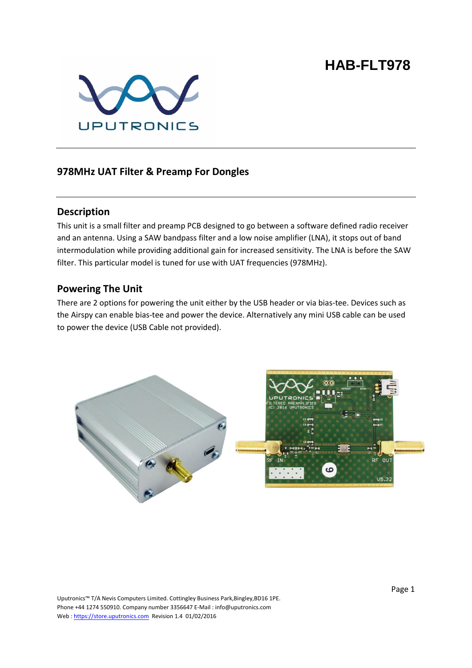# **HAB-FLT978**



### **978MHz UAT Filter & Preamp For Dongles**

#### **Description**

This unit is a small filter and preamp PCB designed to go between a software defined radio receiver and an antenna. Using a SAW bandpass filter and a low noise amplifier (LNA), it stops out of band intermodulation while providing additional gain for increased sensitivity. The LNA is before the SAW filter. This particular model is tuned for use with UAT frequencies (978MHz).

#### **Powering The Unit**

There are 2 options for powering the unit either by the USB header or via bias-tee. Devices such as the Airspy can enable bias-tee and power the device. Alternatively any mini USB cable can be used to power the device (USB Cable not provided).